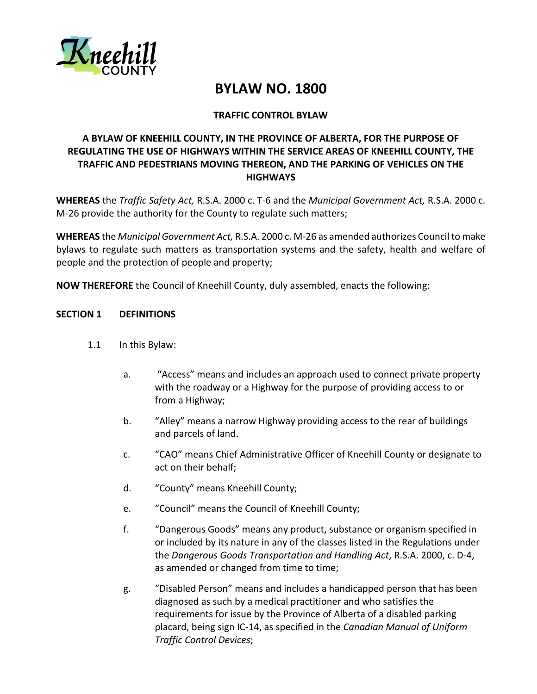

# **BYLAW NO. 1800**

# **TRAFFIC CONTROL BYLAW**

# **A BYLAW OF KNEEHILL COUNTY, IN THE PROVINCE OF ALBERTA, FOR THE PURPOSE OF REGULATING THE USE OF HIGHWAYS WITHIN THE SERVICE AREAS OF KNEEHILL COUNTY, THE TRAFFIC AND PEDESTRIANS MOVING THEREON, AND THE PARKING OF VEHICLES ON THE HIGHWAYS**

**WHEREAS** the *Traffic Safety Act,* R.S.A. 2000 c. T-6 and the *Municipal Government Act,* R.S.A. 2000 c. M-26 provide the authority for the County to regulate such matters;

**WHEREAS** the *Municipal Government Act,* R.S.A. 2000 c. M-26 as amended authorizes Council to make bylaws to regulate such matters as transportation systems and the safety, health and welfare of people and the protection of people and property;

**NOW THEREFORE** the Council of Kneehill County, duly assembled, enacts the following:

#### **SECTION 1 DEFINITIONS**

- 1.1 In this Bylaw:
	- a. "Access" means and includes an approach used to connect private property with the roadway or a Highway for the purpose of providing access to or from a Highway;
	- b. "Alley" means a narrow Highway providing access to the rear of buildings and parcels of land.
	- c. "CAO" means Chief Administrative Officer of Kneehill County or designate to act on their behalf;
	- d. "County" means Kneehill County;
	- e. "Council" means the Council of Kneehill County;
	- f. "Dangerous Goods" means any product, substance or organism specified in or included by its nature in any of the classes listed in the Regulations under the *Dangerous Goods Transportation and Handling Act*, R.S.A. 2000, c. D-4, as amended or changed from time to time;
	- g. "Disabled Person" means and includes a handicapped person that has been diagnosed as such by a medical practitioner and who satisfies the requirements for issue by the Province of Alberta of a disabled parking placard, being sign IC-14, as specified in the *Canadian Manual of Uniform Traffic Control Devices*;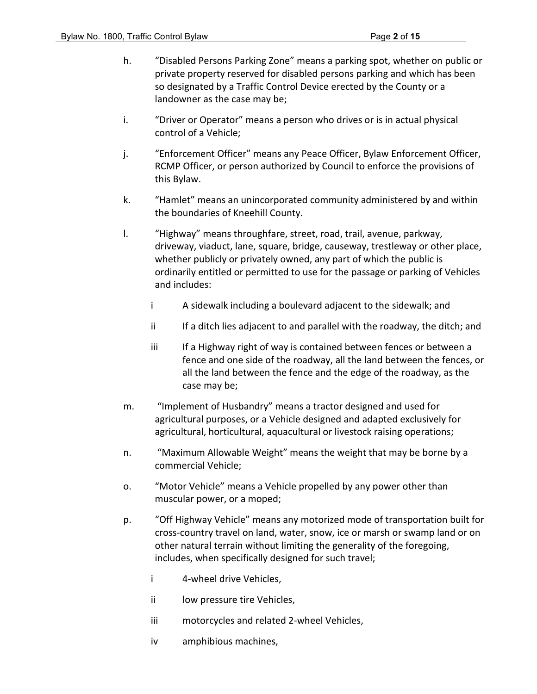- h. "Disabled Persons Parking Zone" means a parking spot, whether on public or private property reserved for disabled persons parking and which has been so designated by a Traffic Control Device erected by the County or a landowner as the case may be;
- i. "Driver or Operator" means a person who drives or is in actual physical control of a Vehicle;
- j. "Enforcement Officer" means any Peace Officer, Bylaw Enforcement Officer, RCMP Officer, or person authorized by Council to enforce the provisions of this Bylaw.
- k. "Hamlet" means an unincorporated community administered by and within the boundaries of Kneehill County.
- l. "Highway" means throughfare, street, road, trail, avenue, parkway, driveway, viaduct, lane, square, bridge, causeway, trestleway or other place, whether publicly or privately owned, any part of which the public is ordinarily entitled or permitted to use for the passage or parking of Vehicles and includes:
	- i A sidewalk including a boulevard adjacent to the sidewalk; and
	- ii If a ditch lies adjacent to and parallel with the roadway, the ditch; and
	- iii If a Highway right of way is contained between fences or between a fence and one side of the roadway, all the land between the fences, or all the land between the fence and the edge of the roadway, as the case may be;
- m. "Implement of Husbandry" means a tractor designed and used for agricultural purposes, or a Vehicle designed and adapted exclusively for agricultural, horticultural, aquacultural or livestock raising operations;
- n. "Maximum Allowable Weight" means the weight that may be borne by a commercial Vehicle;
- o. "Motor Vehicle" means a Vehicle propelled by any power other than muscular power, or a moped;
- p. "Off Highway Vehicle" means any motorized mode of transportation built for cross-country travel on land, water, snow, ice or marsh or swamp land or on other natural terrain without limiting the generality of the foregoing, includes, when specifically designed for such travel;
	- i 4-wheel drive Vehicles,
	- ii low pressure tire Vehicles,
	- iii motorcycles and related 2-wheel Vehicles,
	- iv amphibious machines,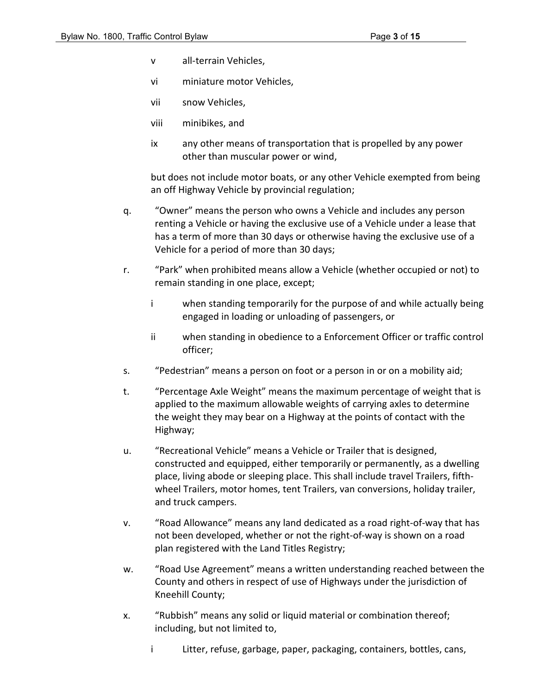- v all-terrain Vehicles,
- vi miniature motor Vehicles,
- vii snow Vehicles,
- viii minibikes, and
- ix any other means of transportation that is propelled by any power other than muscular power or wind,

but does not include motor boats, or any other Vehicle exempted from being an off Highway Vehicle by provincial regulation;

- q. "Owner" means the person who owns a Vehicle and includes any person renting a Vehicle or having the exclusive use of a Vehicle under a lease that has a term of more than 30 days or otherwise having the exclusive use of a Vehicle for a period of more than 30 days;
- r. "Park" when prohibited means allow a Vehicle (whether occupied or not) to remain standing in one place, except;
	- i when standing temporarily for the purpose of and while actually being engaged in loading or unloading of passengers, or
	- ii when standing in obedience to a Enforcement Officer or traffic control officer;
- s. "Pedestrian" means a person on foot or a person in or on a mobility aid;
- t. "Percentage Axle Weight" means the maximum percentage of weight that is applied to the maximum allowable weights of carrying axles to determine the weight they may bear on a Highway at the points of contact with the Highway;
- u. "Recreational Vehicle" means a Vehicle or Trailer that is designed, constructed and equipped, either temporarily or permanently, as a dwelling place, living abode or sleeping place. This shall include travel Trailers, fifthwheel Trailers, motor homes, tent Trailers, van conversions, holiday trailer, and truck campers.
- v. "Road Allowance" means any land dedicated as a road right-of-way that has not been developed, whether or not the right-of-way is shown on a road plan registered with the Land Titles Registry;
- w. "Road Use Agreement" means a written understanding reached between the County and others in respect of use of Highways under the jurisdiction of Kneehill County;
- x. "Rubbish" means any solid or liquid material or combination thereof; including, but not limited to,
	- i Litter, refuse, garbage, paper, packaging, containers, bottles, cans,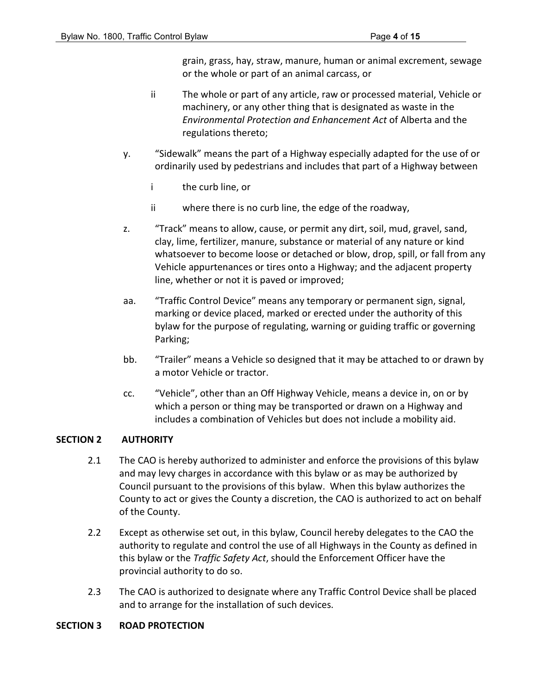grain, grass, hay, straw, manure, human or animal excrement, sewage or the whole or part of an animal carcass, or

- ii The whole or part of any article, raw or processed material, Vehicle or machinery, or any other thing that is designated as waste in the *Environmental Protection and Enhancement Act* of Alberta and the regulations thereto;
- y. "Sidewalk" means the part of a Highway especially adapted for the use of or ordinarily used by pedestrians and includes that part of a Highway between
	- i the curb line, or
	- ii where there is no curb line, the edge of the roadway,
- z. "Track" means to allow, cause, or permit any dirt, soil, mud, gravel, sand, clay, lime, fertilizer, manure, substance or material of any nature or kind whatsoever to become loose or detached or blow, drop, spill, or fall from any Vehicle appurtenances or tires onto a Highway; and the adjacent property line, whether or not it is paved or improved;
- aa. "Traffic Control Device" means any temporary or permanent sign, signal, marking or device placed, marked or erected under the authority of this bylaw for the purpose of regulating, warning or guiding traffic or governing Parking;
- bb. "Trailer" means a Vehicle so designed that it may be attached to or drawn by a motor Vehicle or tractor.
- cc. "Vehicle", other than an Off Highway Vehicle, means a device in, on or by which a person or thing may be transported or drawn on a Highway and includes a combination of Vehicles but does not include a mobility aid.

# **SECTION 2 AUTHORITY**

- 2.1 The CAO is hereby authorized to administer and enforce the provisions of this bylaw and may levy charges in accordance with this bylaw or as may be authorized by Council pursuant to the provisions of this bylaw. When this bylaw authorizes the County to act or gives the County a discretion, the CAO is authorized to act on behalf of the County.
- 2.2 Except as otherwise set out, in this bylaw, Council hereby delegates to the CAO the authority to regulate and control the use of all Highways in the County as defined in this bylaw or the *Traffic Safety Act*, should the Enforcement Officer have the provincial authority to do so.
- 2.3 The CAO is authorized to designate where any Traffic Control Device shall be placed and to arrange for the installation of such devices.

#### **SECTION 3 ROAD PROTECTION**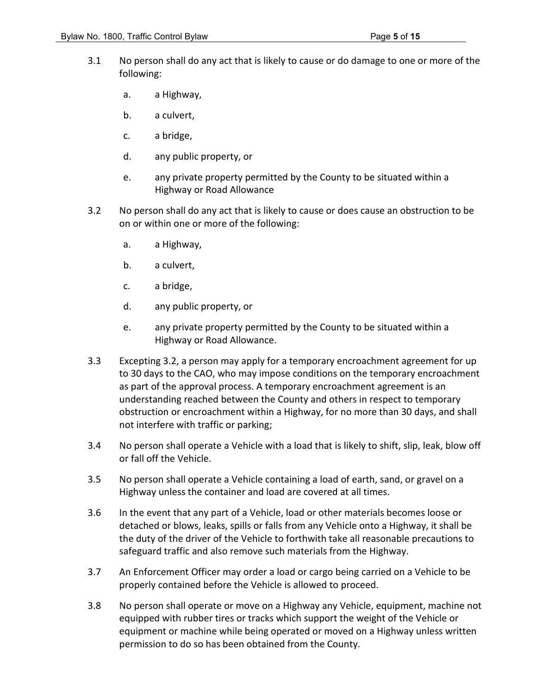- 3.1 No person shall do any act that is likely to cause or do damage to one or more of the following:
	- a. a Highway,
	- b. a culvert,
	- c. a bridge,
	- d. any public property, or
	- e. any private property permitted by the County to be situated within a Highway or Road Allowance
- 3.2 No person shall do any act that is likely to cause or does cause an obstruction to be on or within one or more of the following:
	- a. a Highway,
	- b. a culvert,
	- c. a bridge,
	- d. any public property, or
	- e. any private property permitted by the County to be situated within a Highway or Road Allowance.
- 3.3 Excepting 3.2, a person may apply for a temporary encroachment agreement for up to 30 days to the CAO, who may impose conditions on the temporary encroachment as part of the approval process. A temporary encroachment agreement is an understanding reached between the County and others in respect to temporary obstruction or encroachment within a Highway, for no more than 30 days, and shall not interfere with traffic or parking;
- 3.4 No person shall operate a Vehicle with a load that is likely to shift, slip, leak, blow off or fall off the Vehicle.
- 3.5 No person shall operate a Vehicle containing a load of earth, sand, or gravel on a Highway unless the container and load are covered at all times.
- 3.6 In the event that any part of a Vehicle, load or other materials becomes loose or detached or blows, leaks, spills or falls from any Vehicle onto a Highway, it shall be the duty of the driver of the Vehicle to forthwith take all reasonable precautions to safeguard traffic and also remove such materials from the Highway.
- 3.7 An Enforcement Officer may order a load or cargo being carried on a Vehicle to be properly contained before the Vehicle is allowed to proceed.
- 3.8 No person shall operate or move on a Highway any Vehicle, equipment, machine not equipped with rubber tires or tracks which support the weight of the Vehicle or equipment or machine while being operated or moved on a Highway unless written permission to do so has been obtained from the County.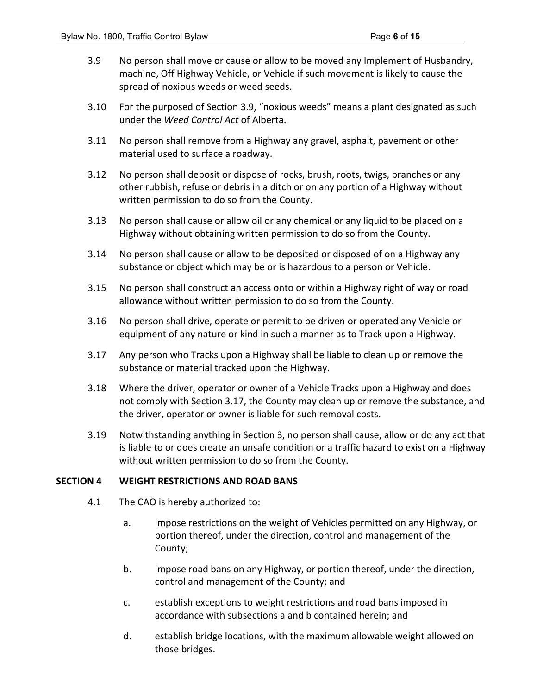- 3.9 No person shall move or cause or allow to be moved any Implement of Husbandry, machine, Off Highway Vehicle, or Vehicle if such movement is likely to cause the spread of noxious weeds or weed seeds.
- 3.10 For the purposed of Section 3.9, "noxious weeds" means a plant designated as such under the *Weed Control Act* of Alberta.
- 3.11 No person shall remove from a Highway any gravel, asphalt, pavement or other material used to surface a roadway.
- 3.12 No person shall deposit or dispose of rocks, brush, roots, twigs, branches or any other rubbish, refuse or debris in a ditch or on any portion of a Highway without written permission to do so from the County.
- 3.13 No person shall cause or allow oil or any chemical or any liquid to be placed on a Highway without obtaining written permission to do so from the County.
- 3.14 No person shall cause or allow to be deposited or disposed of on a Highway any substance or object which may be or is hazardous to a person or Vehicle.
- 3.15 No person shall construct an access onto or within a Highway right of way or road allowance without written permission to do so from the County.
- 3.16 No person shall drive, operate or permit to be driven or operated any Vehicle or equipment of any nature or kind in such a manner as to Track upon a Highway.
- 3.17 Any person who Tracks upon a Highway shall be liable to clean up or remove the substance or material tracked upon the Highway.
- 3.18 Where the driver, operator or owner of a Vehicle Tracks upon a Highway and does not comply with Section 3.17, the County may clean up or remove the substance, and the driver, operator or owner is liable for such removal costs.
- 3.19 Notwithstanding anything in Section 3, no person shall cause, allow or do any act that is liable to or does create an unsafe condition or a traffic hazard to exist on a Highway without written permission to do so from the County.

#### **SECTION 4 WEIGHT RESTRICTIONS AND ROAD BANS**

- 4.1 The CAO is hereby authorized to:
	- a. impose restrictions on the weight of Vehicles permitted on any Highway, or portion thereof, under the direction, control and management of the County;
	- b. impose road bans on any Highway, or portion thereof, under the direction, control and management of the County; and
	- c. establish exceptions to weight restrictions and road bans imposed in accordance with subsections a and b contained herein; and
	- d. establish bridge locations, with the maximum allowable weight allowed on those bridges.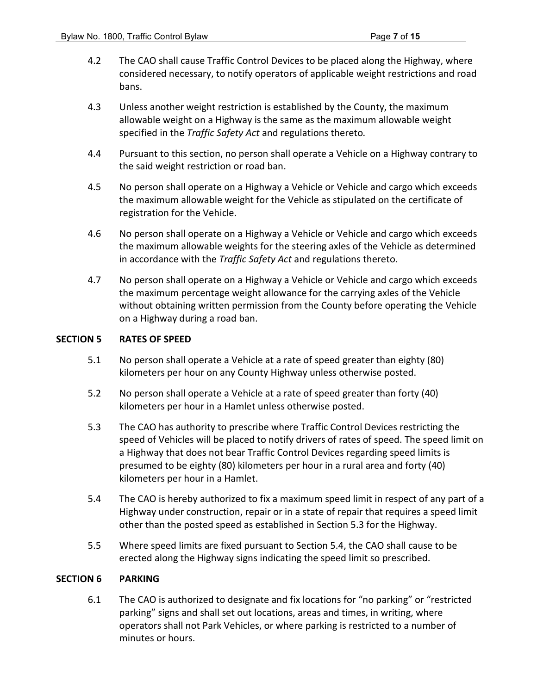- 4.2 The CAO shall cause Traffic Control Devices to be placed along the Highway, where considered necessary, to notify operators of applicable weight restrictions and road bans.
- 4.3 Unless another weight restriction is established by the County, the maximum allowable weight on a Highway is the same as the maximum allowable weight specified in the *Traffic Safety Act* and regulations thereto*.*
- 4.4 Pursuant to this section, no person shall operate a Vehicle on a Highway contrary to the said weight restriction or road ban.
- 4.5 No person shall operate on a Highway a Vehicle or Vehicle and cargo which exceeds the maximum allowable weight for the Vehicle as stipulated on the certificate of registration for the Vehicle.
- 4.6 No person shall operate on a Highway a Vehicle or Vehicle and cargo which exceeds the maximum allowable weights for the steering axles of the Vehicle as determined in accordance with the *Traffic Safety Act* and regulations thereto.
- 4.7 No person shall operate on a Highway a Vehicle or Vehicle and cargo which exceeds the maximum percentage weight allowance for the carrying axles of the Vehicle without obtaining written permission from the County before operating the Vehicle on a Highway during a road ban.

### **SECTION 5 RATES OF SPEED**

- 5.1 No person shall operate a Vehicle at a rate of speed greater than eighty (80) kilometers per hour on any County Highway unless otherwise posted.
- 5.2 No person shall operate a Vehicle at a rate of speed greater than forty (40) kilometers per hour in a Hamlet unless otherwise posted.
- 5.3 The CAO has authority to prescribe where Traffic Control Devices restricting the speed of Vehicles will be placed to notify drivers of rates of speed. The speed limit on a Highway that does not bear Traffic Control Devices regarding speed limits is presumed to be eighty (80) kilometers per hour in a rural area and forty (40) kilometers per hour in a Hamlet.
- 5.4 The CAO is hereby authorized to fix a maximum speed limit in respect of any part of a Highway under construction, repair or in a state of repair that requires a speed limit other than the posted speed as established in Section 5.3 for the Highway.
- 5.5 Where speed limits are fixed pursuant to Section 5.4, the CAO shall cause to be erected along the Highway signs indicating the speed limit so prescribed.

#### **SECTION 6 PARKING**

6.1 The CAO is authorized to designate and fix locations for "no parking" or "restricted parking" signs and shall set out locations, areas and times, in writing, where operators shall not Park Vehicles, or where parking is restricted to a number of minutes or hours.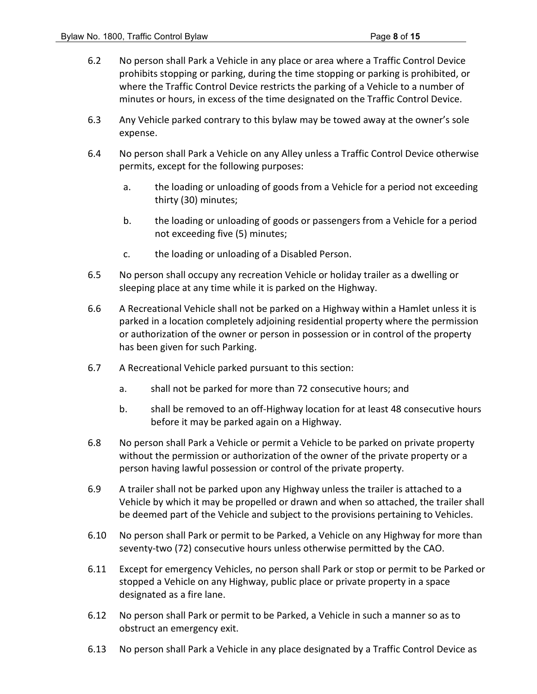- 6.2 No person shall Park a Vehicle in any place or area where a Traffic Control Device prohibits stopping or parking, during the time stopping or parking is prohibited, or where the Traffic Control Device restricts the parking of a Vehicle to a number of minutes or hours, in excess of the time designated on the Traffic Control Device.
- 6.3 Any Vehicle parked contrary to this bylaw may be towed away at the owner's sole expense.
- 6.4 No person shall Park a Vehicle on any Alley unless a Traffic Control Device otherwise permits, except for the following purposes:
	- a. the loading or unloading of goods from a Vehicle for a period not exceeding thirty (30) minutes;
	- b. the loading or unloading of goods or passengers from a Vehicle for a period not exceeding five (5) minutes;
	- c. the loading or unloading of a Disabled Person.
- 6.5 No person shall occupy any recreation Vehicle or holiday trailer as a dwelling or sleeping place at any time while it is parked on the Highway.
- 6.6 A Recreational Vehicle shall not be parked on a Highway within a Hamlet unless it is parked in a location completely adjoining residential property where the permission or authorization of the owner or person in possession or in control of the property has been given for such Parking.
- 6.7 A Recreational Vehicle parked pursuant to this section:
	- a. shall not be parked for more than 72 consecutive hours; and
	- b. shall be removed to an off-Highway location for at least 48 consecutive hours before it may be parked again on a Highway.
- 6.8 No person shall Park a Vehicle or permit a Vehicle to be parked on private property without the permission or authorization of the owner of the private property or a person having lawful possession or control of the private property.
- 6.9 A trailer shall not be parked upon any Highway unless the trailer is attached to a Vehicle by which it may be propelled or drawn and when so attached, the trailer shall be deemed part of the Vehicle and subject to the provisions pertaining to Vehicles.
- 6.10 No person shall Park or permit to be Parked, a Vehicle on any Highway for more than seventy-two (72) consecutive hours unless otherwise permitted by the CAO.
- 6.11 Except for emergency Vehicles, no person shall Park or stop or permit to be Parked or stopped a Vehicle on any Highway, public place or private property in a space designated as a fire lane.
- 6.12 No person shall Park or permit to be Parked, a Vehicle in such a manner so as to obstruct an emergency exit.
- 6.13 No person shall Park a Vehicle in any place designated by a Traffic Control Device as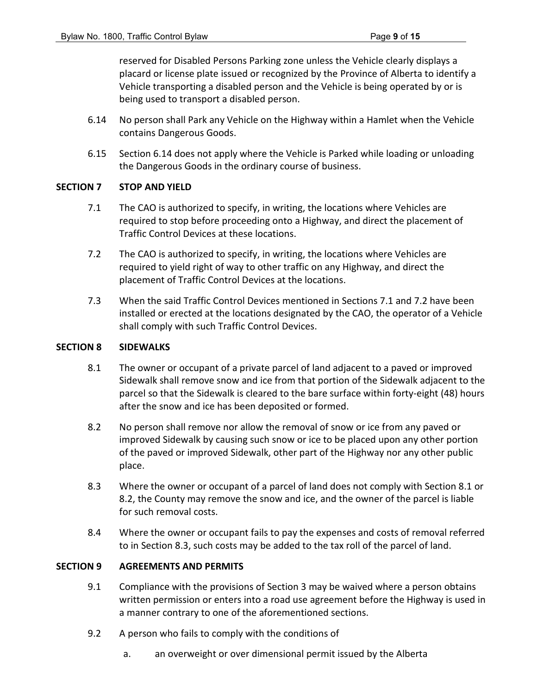reserved for Disabled Persons Parking zone unless the Vehicle clearly displays a placard or license plate issued or recognized by the Province of Alberta to identify a Vehicle transporting a disabled person and the Vehicle is being operated by or is being used to transport a disabled person.

- 6.14 No person shall Park any Vehicle on the Highway within a Hamlet when the Vehicle contains Dangerous Goods.
- 6.15 Section 6.14 does not apply where the Vehicle is Parked while loading or unloading the Dangerous Goods in the ordinary course of business.

### **SECTION 7 STOP AND YIELD**

- 7.1 The CAO is authorized to specify, in writing, the locations where Vehicles are required to stop before proceeding onto a Highway, and direct the placement of Traffic Control Devices at these locations.
- 7.2 The CAO is authorized to specify, in writing, the locations where Vehicles are required to yield right of way to other traffic on any Highway, and direct the placement of Traffic Control Devices at the locations.
- 7.3 When the said Traffic Control Devices mentioned in Sections 7.1 and 7.2 have been installed or erected at the locations designated by the CAO, the operator of a Vehicle shall comply with such Traffic Control Devices.

### **SECTION 8 SIDEWALKS**

- 8.1 The owner or occupant of a private parcel of land adjacent to a paved or improved Sidewalk shall remove snow and ice from that portion of the Sidewalk adjacent to the parcel so that the Sidewalk is cleared to the bare surface within forty-eight (48) hours after the snow and ice has been deposited or formed.
- 8.2 No person shall remove nor allow the removal of snow or ice from any paved or improved Sidewalk by causing such snow or ice to be placed upon any other portion of the paved or improved Sidewalk, other part of the Highway nor any other public place.
- 8.3 Where the owner or occupant of a parcel of land does not comply with Section 8.1 or 8.2, the County may remove the snow and ice, and the owner of the parcel is liable for such removal costs.
- 8.4 Where the owner or occupant fails to pay the expenses and costs of removal referred to in Section 8.3, such costs may be added to the tax roll of the parcel of land.

# **SECTION 9 AGREEMENTS AND PERMITS**

- 9.1 Compliance with the provisions of Section 3 may be waived where a person obtains written permission or enters into a road use agreement before the Highway is used in a manner contrary to one of the aforementioned sections.
- 9.2 A person who fails to comply with the conditions of
	- a. an overweight or over dimensional permit issued by the Alberta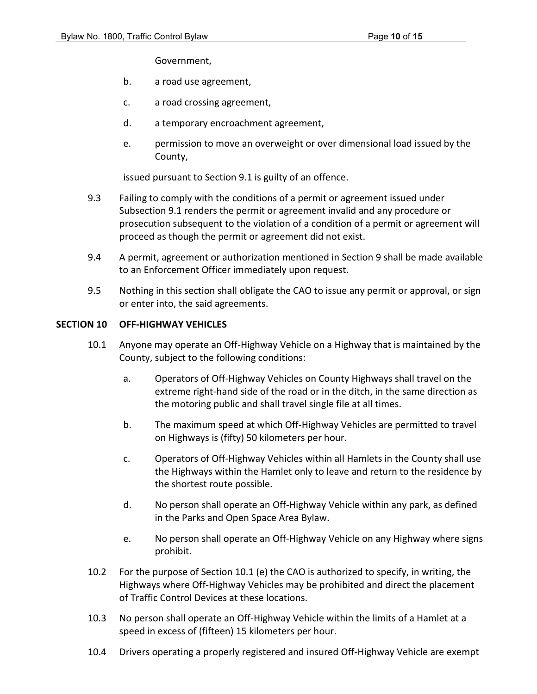Government,

- b. a road use agreement,
- c. a road crossing agreement,
- d. a temporary encroachment agreement,
- e. permission to move an overweight or over dimensional load issued by the County,

issued pursuant to Section 9.1 is guilty of an offence.

- 9.3 Failing to comply with the conditions of a permit or agreement issued under Subsection 9.1 renders the permit or agreement invalid and any procedure or prosecution subsequent to the violation of a condition of a permit or agreement will proceed as though the permit or agreement did not exist.
- 9.4 A permit, agreement or authorization mentioned in Section 9 shall be made available to an Enforcement Officer immediately upon request.
- 9.5 Nothing in this section shall obligate the CAO to issue any permit or approval, or sign or enter into, the said agreements.

#### **SECTION 10 OFF-HIGHWAY VEHICLES**

- 10.1 Anyone may operate an Off-Highway Vehicle on a Highway that is maintained by the County, subject to the following conditions:
	- a. Operators of Off-Highway Vehicles on County Highways shall travel on the extreme right-hand side of the road or in the ditch, in the same direction as the motoring public and shall travel single file at all times.
	- b. The maximum speed at which Off-Highway Vehicles are permitted to travel on Highways is (fifty) 50 kilometers per hour.
	- c. Operators of Off-Highway Vehicles within all Hamlets in the County shall use the Highways within the Hamlet only to leave and return to the residence by the shortest route possible.
	- d. No person shall operate an Off-Highway Vehicle within any park, as defined in the Parks and Open Space Area Bylaw.
	- e. No person shall operate an Off-Highway Vehicle on any Highway where signs prohibit.
- 10.2 For the purpose of Section 10.1 (e) the CAO is authorized to specify, in writing, the Highways where Off-Highway Vehicles may be prohibited and direct the placement of Traffic Control Devices at these locations.
- 10.3 No person shall operate an Off-Highway Vehicle within the limits of a Hamlet at a speed in excess of (fifteen) 15 kilometers per hour.
- 10.4 Drivers operating a properly registered and insured Off-Highway Vehicle are exempt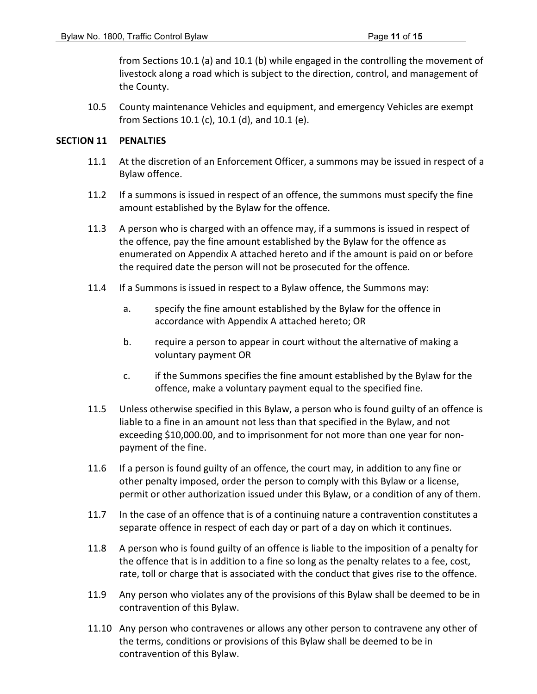from Sections 10.1 (a) and 10.1 (b) while engaged in the controlling the movement of livestock along a road which is subject to the direction, control, and management of the County.

10.5 County maintenance Vehicles and equipment, and emergency Vehicles are exempt from Sections 10.1 (c), 10.1 (d), and 10.1 (e).

### **SECTION 11 PENALTIES**

- 11.1 At the discretion of an Enforcement Officer, a summons may be issued in respect of a Bylaw offence.
- 11.2 If a summons is issued in respect of an offence, the summons must specify the fine amount established by the Bylaw for the offence.
- 11.3 A person who is charged with an offence may, if a summons is issued in respect of the offence, pay the fine amount established by the Bylaw for the offence as enumerated on Appendix A attached hereto and if the amount is paid on or before the required date the person will not be prosecuted for the offence.
- 11.4 If a Summons is issued in respect to a Bylaw offence, the Summons may:
	- a. specify the fine amount established by the Bylaw for the offence in accordance with Appendix A attached hereto; OR
	- b. require a person to appear in court without the alternative of making a voluntary payment OR
	- c. if the Summons specifies the fine amount established by the Bylaw for the offence, make a voluntary payment equal to the specified fine.
- 11.5 Unless otherwise specified in this Bylaw, a person who is found guilty of an offence is liable to a fine in an amount not less than that specified in the Bylaw, and not exceeding \$10,000.00, and to imprisonment for not more than one year for nonpayment of the fine.
- 11.6 If a person is found guilty of an offence, the court may, in addition to any fine or other penalty imposed, order the person to comply with this Bylaw or a license, permit or other authorization issued under this Bylaw, or a condition of any of them.
- 11.7 In the case of an offence that is of a continuing nature a contravention constitutes a separate offence in respect of each day or part of a day on which it continues.
- 11.8 A person who is found guilty of an offence is liable to the imposition of a penalty for the offence that is in addition to a fine so long as the penalty relates to a fee, cost, rate, toll or charge that is associated with the conduct that gives rise to the offence.
- 11.9 Any person who violates any of the provisions of this Bylaw shall be deemed to be in contravention of this Bylaw.
- 11.10 Any person who contravenes or allows any other person to contravene any other of the terms, conditions or provisions of this Bylaw shall be deemed to be in contravention of this Bylaw.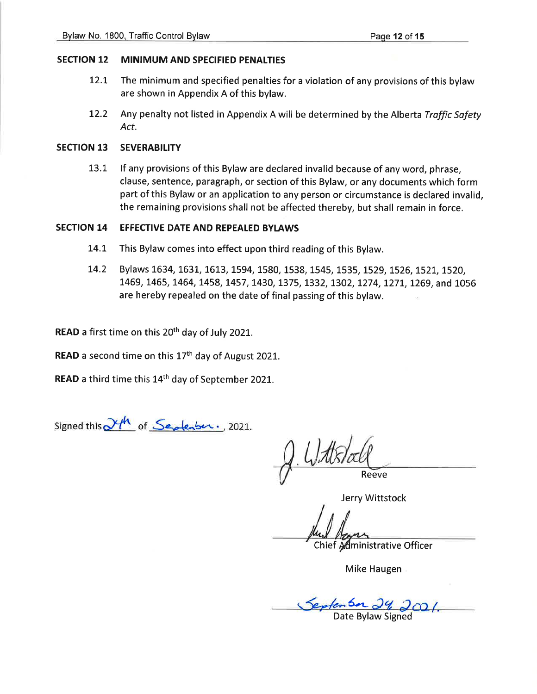#### MINIMUM AND SPECIFIED PENALTIES **SECTION 12**

- $12.1$ The minimum and specified penalties for a violation of any provisions of this bylaw are shown in Appendix A of this bylaw.
- 12.2 Any penalty not listed in Appendix A will be determined by the Alberta Traffic Safety Act.

#### **SECTION 13 SEVERABILITY**

13.1 If any provisions of this Bylaw are declared invalid because of any word, phrase, clause, sentence, paragraph, or section of this Bylaw, or any documents which form part of this Bylaw or an application to any person or circumstance is declared invalid, the remaining provisions shall not be affected thereby, but shall remain in force.

#### **SECTION 14 EFFECTIVE DATE AND REPEALED BYLAWS**

- This Bylaw comes into effect upon third reading of this Bylaw. 14.1
- Bylaws 1634, 1631, 1613, 1594, 1580, 1538, 1545, 1535, 1529, 1526, 1521, 1520, 14.2 1469, 1465, 1464, 1458, 1457, 1430, 1375, 1332, 1302, 1274, 1271, 1269, and 1056 are hereby repealed on the date of final passing of this bylaw.

READ a first time on this 20<sup>th</sup> day of July 2021.

READ a second time on this 17<sup>th</sup> day of August 2021.

READ a third time this 14<sup>th</sup> day of September 2021.

Signed this  $\mathcal{Y}^{\mu}$  of Septenber., 2021.

Reeve

Jerry Wittstock

Chief Administrative Officer

Mike Haugen

Septen Son 29, 2021.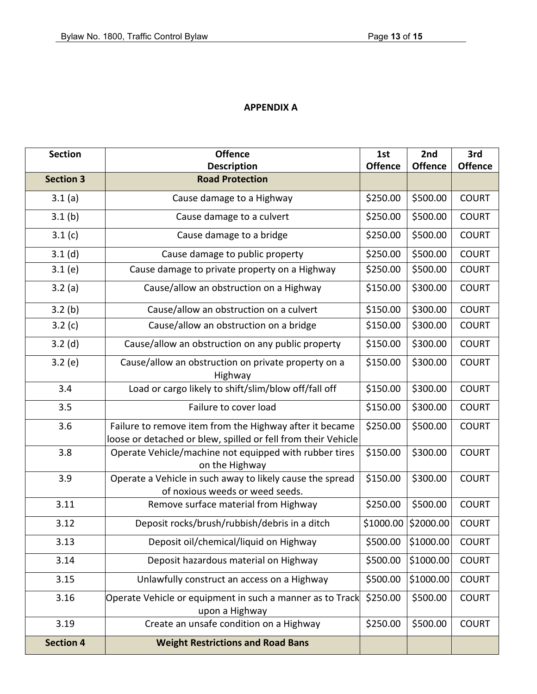# **APPENDIX A**

| <b>Section</b>   | <b>Offence</b>                                                                                                           | 1st            | 2nd            | 3rd            |
|------------------|--------------------------------------------------------------------------------------------------------------------------|----------------|----------------|----------------|
|                  | <b>Description</b>                                                                                                       | <b>Offence</b> | <b>Offence</b> | <b>Offence</b> |
| <b>Section 3</b> | <b>Road Protection</b>                                                                                                   |                |                |                |
| 3.1(a)           | Cause damage to a Highway                                                                                                | \$250.00       | \$500.00       | <b>COURT</b>   |
| 3.1(b)           | Cause damage to a culvert                                                                                                | \$250.00       | \$500.00       | <b>COURT</b>   |
| 3.1(c)           | Cause damage to a bridge                                                                                                 | \$250.00       | \$500.00       | <b>COURT</b>   |
| 3.1(d)           | Cause damage to public property                                                                                          | \$250.00       | \$500.00       | <b>COURT</b>   |
| 3.1(e)           | Cause damage to private property on a Highway                                                                            | \$250.00       | \$500.00       | <b>COURT</b>   |
| 3.2(a)           | Cause/allow an obstruction on a Highway                                                                                  | \$150.00       | \$300.00       | <b>COURT</b>   |
| 3.2(b)           | Cause/allow an obstruction on a culvert                                                                                  | \$150.00       | \$300.00       | <b>COURT</b>   |
| 3.2(c)           | Cause/allow an obstruction on a bridge                                                                                   | \$150.00       | \$300.00       | <b>COURT</b>   |
| 3.2(d)           | Cause/allow an obstruction on any public property                                                                        | \$150.00       | \$300.00       | <b>COURT</b>   |
| 3.2(e)           | Cause/allow an obstruction on private property on a<br>Highway                                                           | \$150.00       | \$300.00       | <b>COURT</b>   |
| 3.4              | Load or cargo likely to shift/slim/blow off/fall off                                                                     | \$150.00       | \$300.00       | <b>COURT</b>   |
| 3.5              | Failure to cover load                                                                                                    | \$150.00       | \$300.00       | <b>COURT</b>   |
| 3.6              | Failure to remove item from the Highway after it became<br>loose or detached or blew, spilled or fell from their Vehicle | \$250.00       | \$500.00       | <b>COURT</b>   |
| 3.8              | Operate Vehicle/machine not equipped with rubber tires<br>on the Highway                                                 | \$150.00       | \$300.00       | <b>COURT</b>   |
| 3.9              | Operate a Vehicle in such away to likely cause the spread<br>of noxious weeds or weed seeds.                             | \$150.00       | \$300.00       | <b>COURT</b>   |
| 3.11             | Remove surface material from Highway                                                                                     | \$250.00       | \$500.00       | <b>COURT</b>   |
| 3.12             | Deposit rocks/brush/rubbish/debris in a ditch                                                                            | \$1000.00      | \$2000.00      | <b>COURT</b>   |
| 3.13             | Deposit oil/chemical/liquid on Highway                                                                                   | \$500.00       | \$1000.00      | <b>COURT</b>   |
| 3.14             | Deposit hazardous material on Highway                                                                                    | \$500.00       | \$1000.00      | <b>COURT</b>   |
| 3.15             | Unlawfully construct an access on a Highway                                                                              | \$500.00       | \$1000.00      | <b>COURT</b>   |
| 3.16             | Operate Vehicle or equipment in such a manner as to Track<br>upon a Highway                                              | \$250.00       | \$500.00       | <b>COURT</b>   |
| 3.19             | Create an unsafe condition on a Highway                                                                                  | \$250.00       | \$500.00       | <b>COURT</b>   |
| <b>Section 4</b> | <b>Weight Restrictions and Road Bans</b>                                                                                 |                |                |                |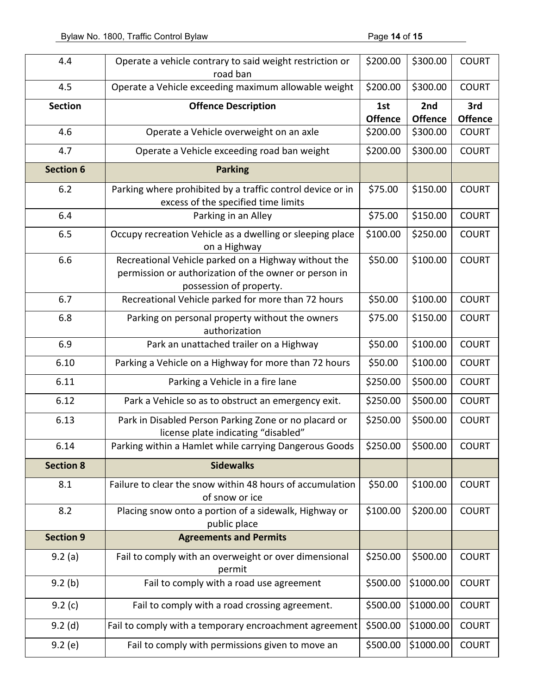| 4.4              | Operate a vehicle contrary to said weight restriction or<br>road ban                                                                     | \$200.00              | \$300.00              | <b>COURT</b>          |
|------------------|------------------------------------------------------------------------------------------------------------------------------------------|-----------------------|-----------------------|-----------------------|
| 4.5              | Operate a Vehicle exceeding maximum allowable weight                                                                                     | \$200.00              | \$300.00              | <b>COURT</b>          |
| <b>Section</b>   | <b>Offence Description</b>                                                                                                               | 1st<br><b>Offence</b> | 2nd<br><b>Offence</b> | 3rd<br><b>Offence</b> |
| 4.6              | Operate a Vehicle overweight on an axle                                                                                                  | \$200.00              | \$300.00              | <b>COURT</b>          |
| 4.7              | Operate a Vehicle exceeding road ban weight                                                                                              | \$200.00              | \$300.00              | <b>COURT</b>          |
| <b>Section 6</b> | <b>Parking</b>                                                                                                                           |                       |                       |                       |
| 6.2              | Parking where prohibited by a traffic control device or in<br>excess of the specified time limits                                        | \$75.00               | \$150.00              | <b>COURT</b>          |
| 6.4              | Parking in an Alley                                                                                                                      | \$75.00               | \$150.00              | <b>COURT</b>          |
| 6.5              | Occupy recreation Vehicle as a dwelling or sleeping place<br>on a Highway                                                                | \$100.00              | \$250.00              | <b>COURT</b>          |
| 6.6              | Recreational Vehicle parked on a Highway without the<br>permission or authorization of the owner or person in<br>possession of property. | \$50.00               | \$100.00              | <b>COURT</b>          |
| 6.7              | Recreational Vehicle parked for more than 72 hours                                                                                       | \$50.00               | \$100.00              | <b>COURT</b>          |
| 6.8              | Parking on personal property without the owners<br>authorization                                                                         | \$75.00               | \$150.00              | <b>COURT</b>          |
| 6.9              | Park an unattached trailer on a Highway                                                                                                  | \$50.00               | \$100.00              | <b>COURT</b>          |
| 6.10             | Parking a Vehicle on a Highway for more than 72 hours                                                                                    | \$50.00               | \$100.00              | <b>COURT</b>          |
| 6.11             | Parking a Vehicle in a fire lane                                                                                                         | \$250.00              | \$500.00              | <b>COURT</b>          |
| 6.12             | Park a Vehicle so as to obstruct an emergency exit.                                                                                      | \$250.00              | \$500.00              | <b>COURT</b>          |
| 6.13             | Park in Disabled Person Parking Zone or no placard or<br>license plate indicating "disabled"                                             | \$250.00              | \$500.00              | <b>COURT</b>          |
| 6.14             | Parking within a Hamlet while carrying Dangerous Goods                                                                                   | \$250.00              | \$500.00              | <b>COURT</b>          |
| <b>Section 8</b> | <b>Sidewalks</b>                                                                                                                         |                       |                       |                       |
| 8.1              | Failure to clear the snow within 48 hours of accumulation<br>of snow or ice                                                              | \$50.00               | \$100.00              | <b>COURT</b>          |
| 8.2              | Placing snow onto a portion of a sidewalk, Highway or<br>public place                                                                    | \$100.00              | \$200.00              | <b>COURT</b>          |
| <b>Section 9</b> | <b>Agreements and Permits</b>                                                                                                            |                       |                       |                       |
| 9.2(a)           | Fail to comply with an overweight or over dimensional<br>permit                                                                          | \$250.00              | \$500.00              | <b>COURT</b>          |
| 9.2(b)           | Fail to comply with a road use agreement                                                                                                 | \$500.00              | \$1000.00             | <b>COURT</b>          |
| 9.2(c)           | Fail to comply with a road crossing agreement.                                                                                           | \$500.00              | \$1000.00             | <b>COURT</b>          |
| $9.2$ (d)        | Fail to comply with a temporary encroachment agreement                                                                                   | \$500.00              | \$1000.00             | <b>COURT</b>          |
| 9.2(e)           | Fail to comply with permissions given to move an                                                                                         | \$500.00              | \$1000.00             | <b>COURT</b>          |